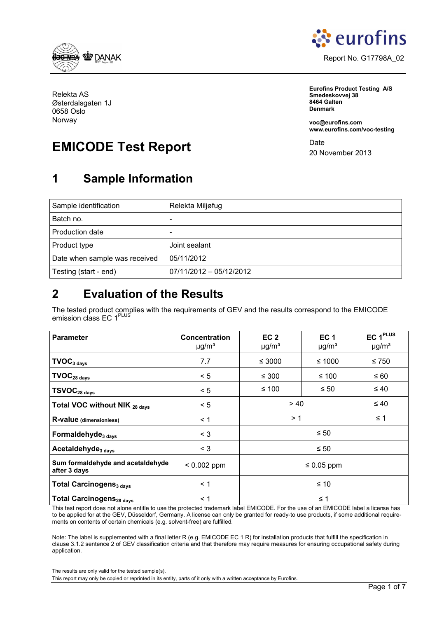<span id="page-0-0"></span>



**Eurofins Product Testing A/S Smedeskovvej 38 8464 Galten Denmark**

**voc@eurofins.com www.eurofins.com/voc-testing**

Date 20 November 2013

Relekta AS Østerdalsgaten 1J 0658 Oslo Norway

# **EMICODE Test Report**

## **1 Sample Information**

| Sample identification         | Relekta Miljøfug        |
|-------------------------------|-------------------------|
| Batch no.                     | -                       |
| Production date               |                         |
| Product type                  | Joint sealant           |
| Date when sample was received | 05/11/2012              |
| Testing (start - end)         | 07/11/2012 - 05/12/2012 |

## **2 Evaluation of the Results**

The tested product complies with the requirements of GEV and the results correspond to the EMICODE emission class EC 1<sup>PLUS</sup>

| <b>Parameter</b>                                  | <b>Concentration</b><br>$\mu$ g/m <sup>3</sup> | EC <sub>2</sub><br>$\mu$ g/m <sup>3</sup> | EC <sub>1</sub><br>$\mu$ g/m <sup>3</sup> | EC 1 <sup>PLUS</sup><br>$\mu$ g/m <sup>3</sup> |  |  |
|---------------------------------------------------|------------------------------------------------|-------------------------------------------|-------------------------------------------|------------------------------------------------|--|--|
| $\textsf{TVOC}_{3 \text{ days}}$                  | 7.7                                            | $\leq 3000$                               | ≤ 750                                     |                                                |  |  |
| $\textbf{TVOC}_{\text{28 days}}$                  | < 5                                            | ≤ 100<br>$\leq 300$                       |                                           | $\leq 60$                                      |  |  |
| $TSVOC28 days$                                    | < 5                                            | ≤ 100<br>$\leq 50$                        |                                           | $\leq 40$                                      |  |  |
| Total VOC without NIK 28 days                     | < 5                                            |                                           | > 40<br>$\leq 40$                         |                                                |  |  |
| R-value (dimensionless)                           | $\leq$ 1                                       | >1                                        |                                           | $\leq 1$                                       |  |  |
| Formaldehyde <sub>3 days</sub>                    | $\leq 3$                                       | $\leq 50$                                 |                                           |                                                |  |  |
| Acetaldehyde <sub>3 days</sub>                    | $<$ 3                                          | $\leq 50$                                 |                                           |                                                |  |  |
| Sum formaldehyde and acetaldehyde<br>after 3 days | $< 0.002$ ppm                                  | $\leq 0.05$ ppm                           |                                           |                                                |  |  |
| <b>Total Carcinogens<sub>3 days</sub></b>         | < 1                                            | ≤ 10                                      |                                           |                                                |  |  |
| Total Carcinogens <sub>28 days</sub>              | < 1                                            | $\leq 1$                                  |                                           |                                                |  |  |

This test report does not alone entitle to use the protected trademark label EMICODE. For the use of an EMICODE label a license has to be applied for at the GEV, Düsseldorf, Germany. A license can only be granted for ready-to use products, if some additional requirements on contents of certain chemicals (e.g. solvent-free) are fulfilled.

Note: The label is supplemented with a final letter R (e.g. EMICODE EC 1 R) for installation products that fulfill the specification in clause 3.1.2 sentence 2 of GEV classification criteria and that therefore may require measures for ensuring occupational safety during application.

The results are only valid for the tested sample(s).

This report may only be copied or reprinted in its entity, parts of it only with a written acceptance by Eurofins.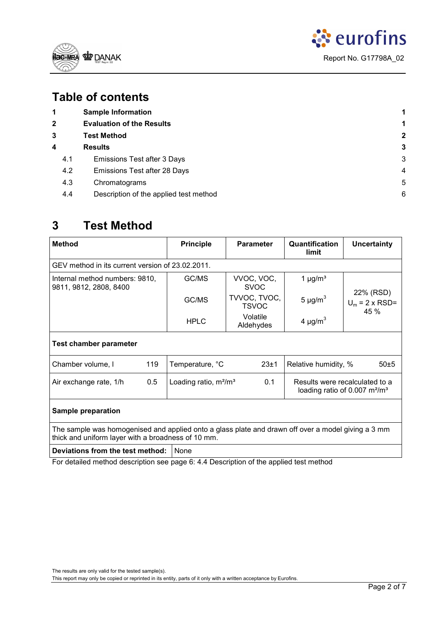



## **Table of contents**

| 1            | <b>Sample Information</b>              |   |
|--------------|----------------------------------------|---|
| $\mathbf{2}$ | <b>Evaluation of the Results</b>       | 1 |
| 3            | <b>Test Method</b>                     | 2 |
| 4            | <b>Results</b>                         | 3 |
| 4.1          | <b>Emissions Test after 3 Days</b>     | 3 |
| 4.2          | Emissions Test after 28 Days           | 4 |
| 4.3          | Chromatograms                          | 5 |
| 4.4          | Description of the applied test method | 6 |

## **3 Test Method**

| <b>Method</b>                                                                                                                                            | <b>Principle</b>                                        | <b>Parameter</b>             | Quantification<br>limit                                            | <b>Uncertainty</b>                    |  |  |  |  |  |
|----------------------------------------------------------------------------------------------------------------------------------------------------------|---------------------------------------------------------|------------------------------|--------------------------------------------------------------------|---------------------------------------|--|--|--|--|--|
| GEV method in its current version of 23.02.2011.                                                                                                         |                                                         |                              |                                                                    |                                       |  |  |  |  |  |
| Internal method numbers: 9810,<br>9811, 9812, 2808, 8400                                                                                                 | GC/MS                                                   | VVOC, VOC,<br><b>SVOC</b>    | 1 $\mu$ g/m <sup>3</sup>                                           |                                       |  |  |  |  |  |
|                                                                                                                                                          | GC/MS                                                   | TVVOC, TVOC,<br><b>TSVOC</b> | 5 $\mu$ g/m <sup>3</sup>                                           | 22% (RSD)<br>$U_m$ = 2 x RSD=<br>45 % |  |  |  |  |  |
|                                                                                                                                                          | <b>HPLC</b>                                             | Volatile<br>Aldehydes        | 4 $\mu$ g/m <sup>3</sup>                                           |                                       |  |  |  |  |  |
| <b>Test chamber parameter</b>                                                                                                                            |                                                         |                              |                                                                    |                                       |  |  |  |  |  |
| 119<br>Chamber volume, I                                                                                                                                 | Temperature, °C<br>23±1<br>Relative humidity, %<br>50±5 |                              |                                                                    |                                       |  |  |  |  |  |
| 0.5<br>Air exchange rate, 1/h                                                                                                                            | Loading ratio, $m^2/m^3$                                | 0.1                          | Results were recalculated to a<br>loading ratio of 0.007 $m^2/m^3$ |                                       |  |  |  |  |  |
| <b>Sample preparation</b>                                                                                                                                |                                                         |                              |                                                                    |                                       |  |  |  |  |  |
| The sample was homogenised and applied onto a glass plate and drawn off over a model giving a 3 mm<br>thick and uniform layer with a broadness of 10 mm. |                                                         |                              |                                                                    |                                       |  |  |  |  |  |

**Deviations from the test method:** None

For detailed method description see pag[e 6: 4.4](#page-5-0) [Description of the applied test method](#page-5-0)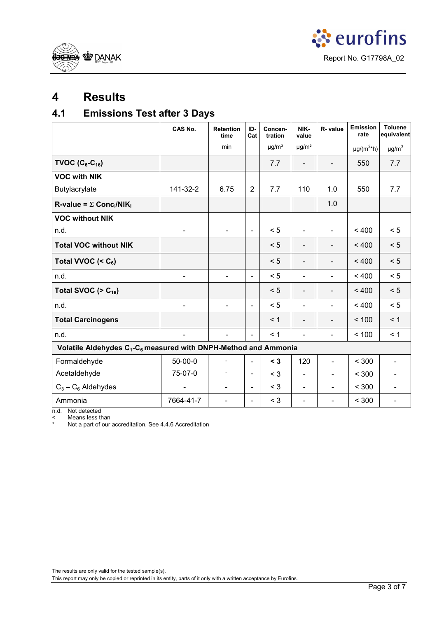<span id="page-2-0"></span>



## **4 Results**

## **4.1 Emissions Test after 3 Days**

|                                                                                         | CAS No.                  | <b>Retention</b><br>time     | ID-<br>Cat               | Concen-<br>tration     | NIK-<br>value                | R- value                 | Emission<br>rate            | <b>Toluene</b><br>equivalent |  |
|-----------------------------------------------------------------------------------------|--------------------------|------------------------------|--------------------------|------------------------|------------------------------|--------------------------|-----------------------------|------------------------------|--|
|                                                                                         |                          | min                          |                          | $\mu$ g/m <sup>3</sup> | $\mu$ g/m <sup>3</sup>       |                          | $\mu$ g/(m <sup>2*</sup> h) | $\mu$ g/m <sup>3</sup>       |  |
| TVOC $(C_6-C_{16})$                                                                     |                          |                              |                          | 7.7                    | $\qquad \qquad \blacksquare$ | $\overline{\phantom{0}}$ | 550                         | 7.7                          |  |
| <b>VOC with NIK</b>                                                                     |                          |                              |                          |                        |                              |                          |                             |                              |  |
| Butylacrylate                                                                           | 141-32-2                 | 6.75                         | $\overline{2}$           | 7.7                    | 110                          | 1.0                      | 550                         | 7.7                          |  |
| R-value = $\Sigma$ Conc <sub>i</sub> /NIK <sub>i</sub>                                  |                          |                              |                          |                        |                              | 1.0                      |                             |                              |  |
| <b>VOC without NIK</b>                                                                  |                          |                              |                          |                        |                              |                          |                             |                              |  |
| n.d.                                                                                    |                          | $\blacksquare$               | $\blacksquare$           | < 5                    | $\overline{\phantom{a}}$     | $\blacksquare$           | < 400                       | < 5                          |  |
| <b>Total VOC without NIK</b>                                                            |                          |                              |                          | < 5                    | $\overline{\phantom{a}}$     | $\overline{\phantom{a}}$ | < 400                       | < 5                          |  |
| Total VVOC $(C_6)$                                                                      |                          |                              |                          | < 5                    | $\overline{\phantom{a}}$     | $\overline{\phantom{a}}$ | < 400                       | < 5                          |  |
| n.d.                                                                                    | $\overline{\phantom{a}}$ | $\overline{\phantom{a}}$     | $\blacksquare$           | < 5                    | $\overline{\phantom{a}}$     | $\blacksquare$           | < 400                       | < 5                          |  |
| Total SVOC ( $> C_{16}$ )                                                               |                          |                              |                          | < 5                    | $\overline{\phantom{0}}$     |                          | < 400                       | < 5                          |  |
| n.d.                                                                                    |                          | $\blacksquare$               | $\blacksquare$           | < 5                    | $\blacksquare$               | $\blacksquare$           | < 400                       | < 5                          |  |
| <b>Total Carcinogens</b>                                                                |                          |                              |                          | < 1                    | $\overline{\phantom{0}}$     | $\overline{\phantom{a}}$ | < 100                       | < 1                          |  |
| n.d.                                                                                    |                          | $\qquad \qquad \blacksquare$ | ÷.                       | < 1                    | $\overline{\phantom{0}}$     | $\blacksquare$           | < 100                       | < 1                          |  |
| Volatile Aldehydes C <sub>1</sub> -C <sub>6</sub> measured with DNPH-Method and Ammonia |                          |                              |                          |                        |                              |                          |                             |                              |  |
| Formaldehyde                                                                            | $50-00-0$                | $\overline{a}$               | $\blacksquare$           | $<$ 3                  | 120                          | $\overline{\phantom{a}}$ | < 300                       | $\qquad \qquad \blacksquare$ |  |
| Acetaldehyde                                                                            | 75-07-0                  |                              | $\overline{\phantom{a}}$ | $<$ 3                  |                              | $\overline{\phantom{0}}$ | < 300                       |                              |  |
| $C_3 - C_6$ Aldehydes                                                                   |                          | $\overline{\phantom{a}}$     | $\blacksquare$           | $<$ 3                  | $\overline{\phantom{0}}$     | $\overline{\phantom{0}}$ | < 300                       |                              |  |
| Ammonia                                                                                 | 7664-41-7                | $\overline{\phantom{0}}$     | $\blacksquare$           | $<$ 3                  | $\overline{a}$               | $\overline{\phantom{0}}$ | < 300                       |                              |  |

n.d. Not detected

< Means less than Not a part of our accreditation. See 4.4.6 Accreditation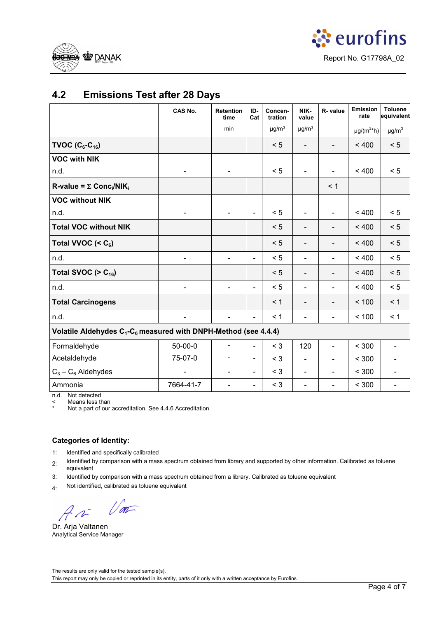<span id="page-3-0"></span>



## **4.2 Emissions Test after 28 Days**

|                                                                                         | CAS No.                  | <b>Retention</b><br>time     | ID-<br>Cat               | Concen-<br>tration     | NIK-<br>value            | R-value                  | Emission<br>rate            | <b>Toluene</b><br>equivalent |
|-----------------------------------------------------------------------------------------|--------------------------|------------------------------|--------------------------|------------------------|--------------------------|--------------------------|-----------------------------|------------------------------|
|                                                                                         |                          | min                          |                          | $\mu$ g/m <sup>3</sup> | $\mu$ g/m <sup>3</sup>   |                          | $\mu$ g/(m <sup>2*</sup> h) | $\mu$ g/m $^3$               |
| TVOC $(C_6-C_{16})$                                                                     |                          |                              |                          | < 5                    | $\overline{\phantom{a}}$ |                          | < 400                       | < 5                          |
| <b>VOC with NIK</b>                                                                     |                          |                              |                          |                        |                          |                          |                             |                              |
| n.d.                                                                                    |                          |                              |                          | < 5                    |                          |                          | < 400                       | < 5                          |
| R-value = $\Sigma$ Conc <sub>i</sub> /NIK <sub>i</sub>                                  |                          |                              |                          |                        |                          | < 1                      |                             |                              |
| <b>VOC without NIK</b>                                                                  |                          |                              |                          |                        |                          |                          |                             |                              |
| n.d.                                                                                    |                          | $\overline{\phantom{0}}$     | $\blacksquare$           | < 5                    | $\frac{1}{2}$            | $\blacksquare$           | < 400                       | < 5                          |
| <b>Total VOC without NIK</b>                                                            |                          |                              |                          | < 5                    | $\overline{\phantom{0}}$ |                          | < 400                       | < 5                          |
| Total VVOC $(6)$                                                                        |                          |                              |                          | < 5                    | $\overline{\phantom{a}}$ | $\overline{\phantom{a}}$ | < 400                       | < 5                          |
| n.d.                                                                                    | $\overline{\phantom{0}}$ | $\blacksquare$               | $\blacksquare$           | < 5                    | $\blacksquare$           | $\blacksquare$           | < 400                       | < 5                          |
| Total SVOC ( $> C_{16}$ )                                                               |                          |                              |                          | < 5                    | $\overline{\phantom{0}}$ |                          | < 400                       | < 5                          |
| n.d.                                                                                    |                          | $\qquad \qquad \blacksquare$ | $\blacksquare$           | < 5                    | $\blacksquare$           | $\blacksquare$           | < 400                       | < 5                          |
| <b>Total Carcinogens</b>                                                                |                          |                              |                          | < 1                    | $\qquad \qquad -$        | $\overline{\phantom{a}}$ | < 100                       | < 1                          |
| n.d.                                                                                    |                          | $\overline{\phantom{0}}$     | $\blacksquare$           | < 1                    | $\blacksquare$           | $\blacksquare$           | < 100                       | < 1                          |
| Volatile Aldehydes C <sub>1</sub> -C <sub>6</sub> measured with DNPH-Method (see 4.4.4) |                          |                              |                          |                        |                          |                          |                             |                              |
| Formaldehyde                                                                            | $50-00-0$                |                              | $\overline{\phantom{a}}$ | $<$ 3                  | 120                      |                          | < 300                       |                              |
| Acetaldehyde                                                                            | 75-07-0                  |                              | $\overline{\phantom{a}}$ | $<$ 3                  | $\blacksquare$           |                          | < 300                       |                              |
| $C_3 - C_6$ Aldehydes                                                                   |                          |                              | $\blacksquare$           | $<$ 3                  | $\blacksquare$           |                          | < 300                       |                              |
| Ammonia                                                                                 | 7664-41-7                | $\overline{\phantom{0}}$     | $\overline{\phantom{a}}$ | $<$ 3                  | $\overline{\phantom{0}}$ | $\frac{1}{2}$            | $< 300$                     |                              |

n.d. Not detected

< Means less than

Not a part of our accreditation. See 4.4.6 Accreditation

#### **Categories of Identity:**

1: Identified and specifically calibrated

2: Identified by comparison with a mass spectrum obtained from library and supported by other information. Calibrated as toluene equivalent

3: Identified by comparison with a mass spectrum obtained from a library. Calibrated as toluene equivalent

4: Not identified, calibrated as toluene equivalent

Var

Dr. Arja Valtanen Analytical Service Manager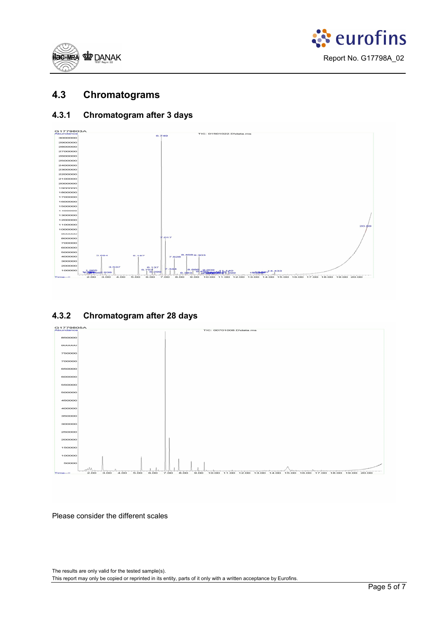<span id="page-4-0"></span>



## **4.3 Chromatograms**

### **4.3.1 Chromatogram after 3 days**



## **4.3.2 Chromatogram after 28 days**



#### Please consider the different scales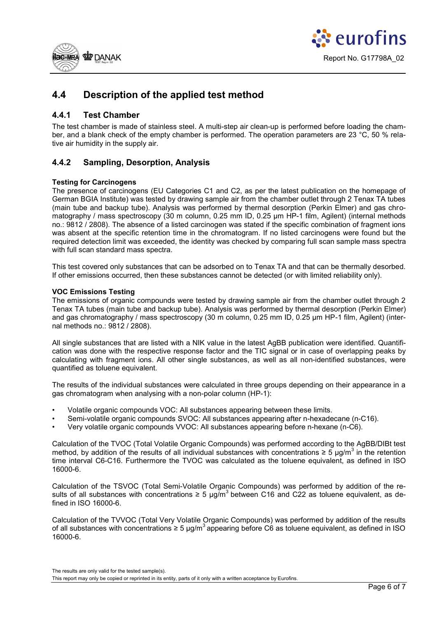<span id="page-5-0"></span>



## **4.4 Description of the applied test method**

### **4.4.1 Test Chamber**

The test chamber is made of stainless steel. A multi-step air clean-up is performed before loading the chamber, and a blank check of the empty chamber is performed. The operation parameters are 23 °C, 50 % relative air humidity in the supply air.

### **4.4.2 Sampling, Desorption, Analysis**

#### **Testing for Carcinogens**

The presence of carcinogens (EU Categories C1 and C2, as per the latest publication on the homepage of German BGIA Institute) was tested by drawing sample air from the chamber outlet through 2 Tenax TA tubes (main tube and backup tube). Analysis was performed by thermal desorption (Perkin Elmer) and gas chromatography / mass spectroscopy (30 m column, 0.25 mm ID, 0.25 µm HP-1 film, Agilent) (internal methods no.: 9812 / 2808). The absence of a listed carcinogen was stated if the specific combination of fragment ions was absent at the specific retention time in the chromatogram. If no listed carcinogens were found but the required detection limit was exceeded, the identity was checked by comparing full scan sample mass spectra with full scan standard mass spectra.

This test covered only substances that can be adsorbed on to Tenax TA and that can be thermally desorbed. If other emissions occurred, then these substances cannot be detected (or with limited reliability only).

#### **VOC Emissions Testing**

The emissions of organic compounds were tested by drawing sample air from the chamber outlet through 2 Tenax TA tubes (main tube and backup tube). Analysis was performed by thermal desorption (Perkin Elmer) and gas chromatography / mass spectroscopy (30 m column, 0.25 mm ID, 0.25 µm HP-1 film, Agilent) (internal methods no.: 9812 / 2808).

All single substances that are listed with a NIK value in the latest AgBB publication were identified. Quantification was done with the respective response factor and the TIC signal or in case of overlapping peaks by calculating with fragment ions. All other single substances, as well as all non-identified substances, were quantified as toluene equivalent.

The results of the individual substances were calculated in three groups depending on their appearance in a gas chromatogram when analysing with a non-polar column (HP-1):

- Volatile organic compounds VOC: All substances appearing between these limits.
- Semi-volatile organic compounds SVOC: All substances appearing after n-hexadecane (n-C16).
- Very volatile organic compounds VVOC: All substances appearing before n-hexane (n-C6).

Calculation of the TVOC (Total Volatile Organic Compounds) was performed according to the AgBB/DIBt test method, by addition of the results of all individual substances with concentrations  $\geq 5$  µg/m<sup>3</sup> in the retention time interval C6-C16. Furthermore the TVOC was calculated as the toluene equivalent, as defined in ISO 16000-6.

Calculation of the TSVOC (Total Semi-Volatile Organic Compounds) was performed by addition of the results of all substances with concentrations  $\geq 5$  µg/m<sup>3</sup> between C16 and C22 as toluene equivalent, as defined in ISO 16000-6.

Calculation of the TVVOC (Total Very Volatile Organic Compounds) was performed by addition of the results of all substances with concentrations ≥ 5 µg/m<sup>3</sup> appearing before C6 as toluene equivalent, as defined in ISO 16000-6.